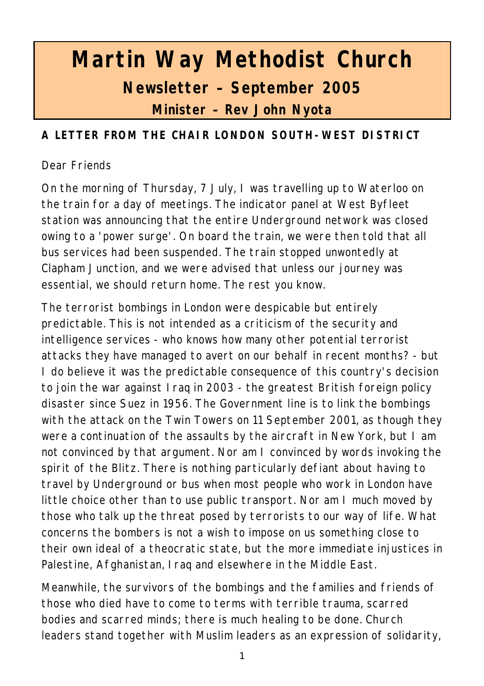# **Martin Way Methodist Church Newsletter – September 2005 Minister – Rev John Nyota**

## **A LETTER FROM THE CHAIR LONDON SOUTH-WEST DISTRICT**

#### Dear Friends

On the morning of Thursday, 7 July, I was travelling up to Waterloo on the train for a day of meetings. The indicator panel at West Byfleet station was announcing that the entire Underground network was closed owing to a 'power surge'. On board the train, we were then told that all bus services had been suspended. The train stopped unwontedly at Clapham Junction, and we were advised that unless our journey was essential, we should return home. The rest you know.

The terrorist bombings in London were despicable but entirely predictable. This is not intended as a criticism of the security and intelligence services - who knows how many other potential terrorist attacks they have managed to avert on our behalf in recent months? - but I do believe it was the predictable consequence of this country's decision to join the war against Iraq in 2003 - the greatest British foreign policy disaster since Suez in 1956. The Government line is to link the bombings with the attack on the Twin Towers on 11 September 2001, as though they were a continuation of the assaults by the aircraft in New York, but I am not convinced by that argument. Nor am I convinced by words invoking the spirit of the Blitz. There is nothing particularly defiant about having to travel by Underground or bus when most people who work in London have little choice other than to use public transport. Nor am I much moved by those who talk up the threat posed by terrorists to our way of life. What concerns the bombers is not a wish to impose on us something close to their own ideal of a theocratic state, but the more immediate injustices in Palestine, Afghanistan, Iraq and elsewhere in the Middle East.

Meanwhile, the survivors of the bombings and the families and friends of those who died have to come to terms with terrible trauma, scarred bodies and scarred minds; there is much healing to be done. Church leaders stand together with Muslim leaders as an expression of solidarity,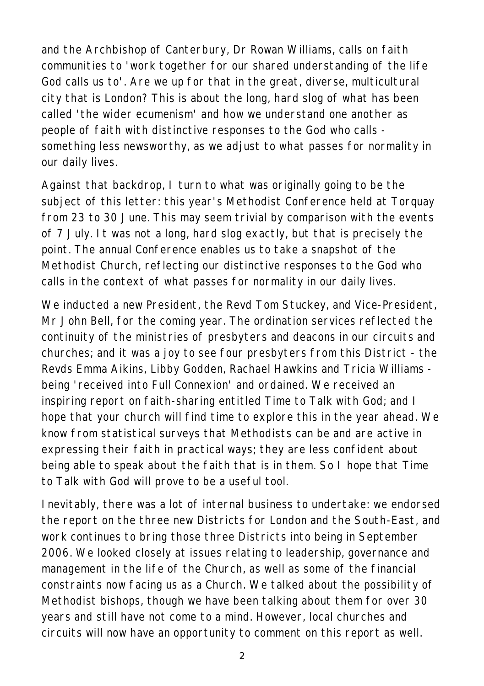and the Archbishop of Canterbury, Dr Rowan Williams, calls on faith communities to 'work together for our shared understanding of the life God calls us to'. Are we up for that in the great, diverse, multicultural city that is London? This is about the long, hard slog of what has been called 'the wider ecumenism' and how we understand one another as people of faith with distinctive responses to the God who calls something less newsworthy, as we adjust to what passes for normality in our daily lives.

Against that backdrop, I turn to what was originally going to be the subject of this letter: this year's Methodist Conference held at Torquay from 23 to 30 June. This may seem trivial by comparison with the events of 7 July. It was not a long, hard slog exactly, but that is precisely the point. The annual Conference enables us to take a snapshot of the Methodist Church, reflecting our distinctive responses to the God who calls in the context of what passes for normality in our daily lives.

We inducted a new President, the Revd Tom Stuckey, and Vice-President, Mr John Bell, for the coming year. The ordination services reflected the continuity of the ministries of presbyters and deacons in our circuits and churches; and it was a joy to see four presbyters from this District - the Revds Emma Aikins, Libby Godden, Rachael Hawkins and Tricia Williams being 'received into Full Connexion' and ordained. We received an inspiring report on faith-sharing entitled Time to Talk with God; and I hope that your church will find time to explore this in the year ahead. We know from statistical surveys that Methodists can be and are active in expressing their faith in practical ways; they are less confident about being able to speak about the faith that is in them. So I hope that Time to Talk with God will prove to be a useful tool.

Inevitably, there was a lot of internal business to undertake: we endorsed the report on the three new Districts for London and the South-East, and work continues to bring those three Districts into being in September 2006. We looked closely at issues relating to leadership, governance and management in the life of the Church, as well as some of the financial constraints now facing us as a Church. We talked about the possibility of Methodist bishops, though we have been talking about them for over 30 years and still have not come to a mind. However, local churches and circuits will now have an opportunity to comment on this report as well.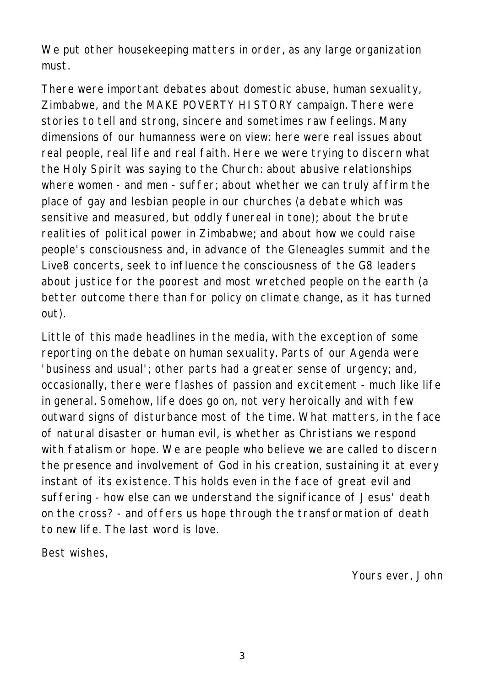We put other housekeeping matters in order, as any large organization must.

There were important debates about domestic abuse, human sexuality, Zimbabwe, and the MAKE POVERTY HISTORY campaign. There were stories to tell and strong, sincere and sometimes raw feelings. Many dimensions of our humanness were on view: here were real issues about real people, real life and real faith. Here we were trying to discern what the Holy Spirit was saying to the Church: about abusive relationships where women - and men - suffer; about whether we can truly affirm the place of gay and lesbian people in our churches (a debate which was sensitive and measured, but oddly funereal in tone); about the brute realities of political power in Zimbabwe; and about how we could raise people's consciousness and, in advance of the Gleneagles summit and the Live8 concerts, seek to influence the consciousness of the G8 leaders about justice for the poorest and most wretched people on the earth (a better outcome there than for policy on climate change, as it has turned out).

Little of this made headlines in the media, with the exception of some reporting on the debate on human sexuality. Parts of our Agenda were 'business and usual'; other parts had a greater sense of urgency; and, occasionally, there were flashes of passion and excitement - much like life in general. Somehow, life does go on, not very heroically and with few outward signs of disturbance most of the time. What matters, in the face of natural disaster or human evil, is whether as Christians we respond with fatalism or hope. We are people who believe we are called to discern the presence and involvement of God in his creation, sustaining it at every instant of its existence. This holds even in the face of great evil and suffering - how else can we understand the significance of Jesus' death on the cross? - and offers us hope through the transformation of death to new life. The last word is love.

Best wishes,

*Yours ever, John*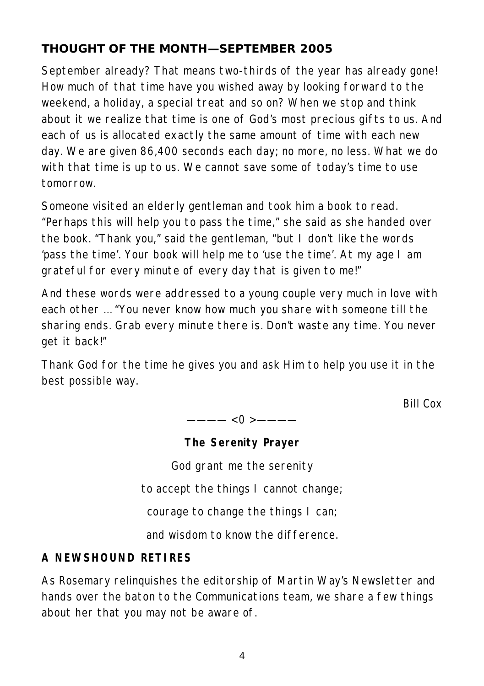# **THOUGHT OF THE MONTH—SEPTEMBER 2005**

September already? That means two-thirds of the year has already gone! How much of that time have you wished away by looking forward to the weekend, a holiday, a special treat and so on? When we stop and think about it we realize that time is one of God's most precious gifts to us. And each of us is allocated exactly the same amount of time with each new day. We are given 86,400 seconds each day; no more, no less. What we do with that time is up to us. We cannot save some of today's time to use tomorrow.

Someone visited an elderly gentleman and took him a book to read. "Perhaps this will help you to pass the time," she said as she handed over the book. "Thank you," said the gentleman, "but I don't like the words 'pass the time'. Your book will help me to 'use the time'. At my age I am grateful for every minute of every day that is given to me!"

And these words were addressed to a young couple very much in love with each other … "You never know how much you share with someone till the sharing ends. Grab every minute there is. Don't waste any time. You never get it back!"

Thank God for the time he gives you and ask Him to help you use it in the best possible way.

*Bill Cox*

———— < 0 > ————

**The Serenity Prayer**

God grant me the serenity

to accept the things I cannot change;

courage to change the things I can;

and wisdom to know the difference.

## **A NEWSHOUND RETIRES**

As Rosemary relinquishes the editorship of Martin Way's Newsletter and hands over the baton to the Communications team, we share a few things about her that you may not be aware of.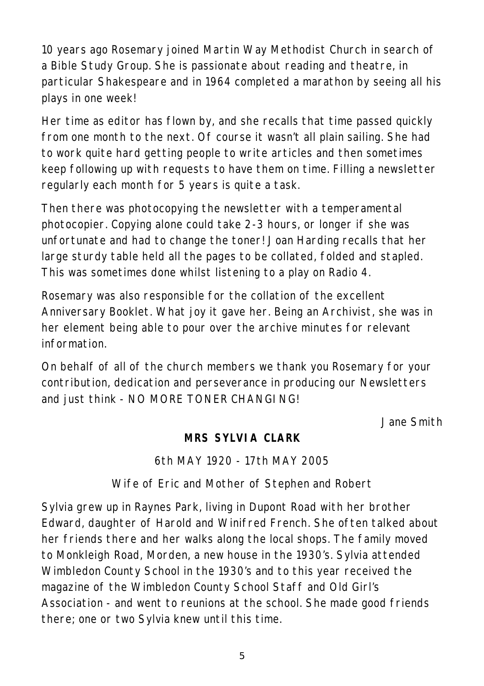10 years ago Rosemary joined Martin Way Methodist Church in search of a Bible Study Group. She is passionate about reading and theatre, in particular Shakespeare and in 1964 completed a marathon by seeing all his plays in one week!

Her time as editor has flown by, and she recalls that time passed quickly from one month to the next. Of course it wasn't all plain sailing. She had to work quite hard getting people to write articles and then sometimes keep following up with requests to have them on time. Filling a newsletter regularly each month for 5 years is quite a task.

Then there was photocopying the newsletter with a temperamental photocopier. Copying alone could take 2-3 hours, or longer if she was unfortunate and had to change the toner! Joan Harding recalls that her large sturdy table held all the pages to be collated, folded and stapled. This was sometimes done whilst listening to a play on Radio 4.

Rosemary was also responsible for the collation of the excellent Anniversary Booklet. What joy it gave her. Being an Archivist, she was in her element being able to pour over the archive minutes for relevant information.

On behalf of all of the church members we thank you Rosemary for your contribution, dedication and perseverance in producing our Newsletters and just think - NO MORE TONER CHANGING!

*Jane Smith*

## **MRS SYLVIA CLARK**

## 6th MAY 1920 - 17th MAY 2005

## Wife of Eric and Mother of Stephen and Robert

Sylvia grew up in Raynes Park, living in Dupont Road with her brother Edward, daughter of Harold and Winifred French. She often talked about her friends there and her walks along the local shops. The family moved to Monkleigh Road, Morden, a new house in the 1930's. Sylvia attended Wimbledon County School in the 1930's and to this year received the magazine of the Wimbledon County School Staff and Old Girl's Association - and went to reunions at the school. She made good friends there; one or two Sylvia knew until this time.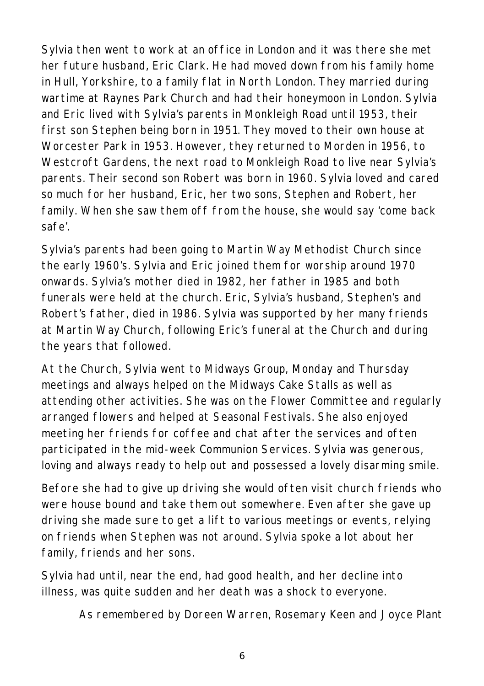Sylvia then went to work at an office in London and it was there she met her future husband, Eric Clark. He had moved down from his family home in Hull, Yorkshire, to a family flat in North London. They married during wartime at Raynes Park Church and had their honeymoon in London. Sylvia and Eric lived with Sylvia's parents in Monkleigh Road until 1953, their first son Stephen being born in 1951. They moved to their own house at Worcester Park in 1953. However, they returned to Morden in 1956, to Westcroft Gardens, the next road to Monkleigh Road to live near Sylvia's parents. Their second son Robert was born in 1960. Sylvia loved and cared so much for her husband, Eric, her two sons, Stephen and Robert, her family. When she saw them off from the house, she would say 'come back safe'.

Sylvia's parents had been going to Martin Way Methodist Church since the early 1960's. Sylvia and Eric joined them for worship around 1970 onwards. Sylvia's mother died in 1982, her father in 1985 and both funerals were held at the church. Eric, Sylvia's husband, Stephen's and Robert's father, died in 1986. Sylvia was supported by her many friends at Martin Way Church, following Eric's funeral at the Church and during the years that followed.

At the Church, Sylvia went to Midways Group, Monday and Thursday meetings and always helped on the Midways Cake Stalls as well as attending other activities. She was on the Flower Committee and regularly arranged flowers and helped at Seasonal Festivals. She also enjoyed meeting her friends for coffee and chat after the services and often participated in the mid-week Communion Services. Sylvia was generous, loving and always ready to help out and possessed a lovely disarming smile.

Before she had to give up driving she would often visit church friends who were house bound and take them out somewhere. Even after she gave up driving she made sure to get a lift to various meetings or events, relying on friends when Stephen was not around. Sylvia spoke a lot about her family, friends and her sons.

Sylvia had until, near the end, had good health, and her decline into illness, was quite sudden and her death was a shock to everyone.

*As remembered by Doreen Warren, Rosemary Keen and Joyce Plant*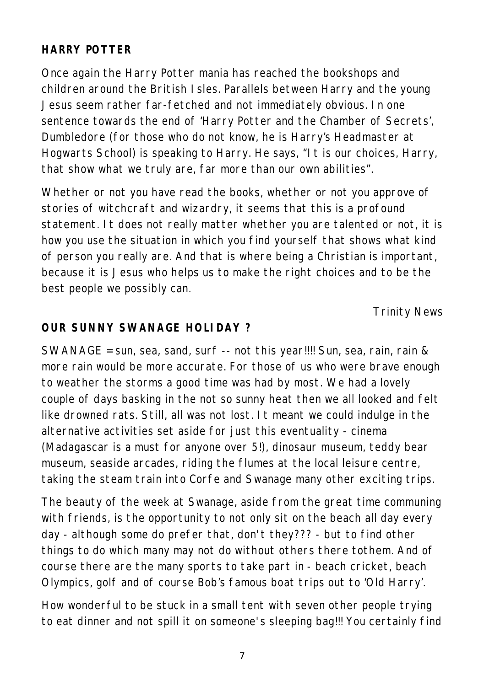## **HARRY POTTER**

Once again the Harry Potter mania has reached the bookshops and children around the British Isles. Parallels between Harry and the young Jesus seem rather far-fetched and not immediately obvious. In one sentence towards the end of 'Harry Potter and the Chamber of Secrets', Dumbledore (for those who do not know, he is Harry's Headmaster at Hogwarts School) is speaking to Harry. He says, "It is our choices, Harry, that show what we truly are, far more than our own abilities".

Whether or not you have read the books, whether or not you approve of stories of witchcraft and wizardry, it seems that this is a profound statement. It does not really matter whether you are talented or not, it is how you use the situation in which you find yourself that shows what kind of person you really are. And that is where being a Christian is important, because it is Jesus who helps us to make the right choices and to be the best people we possibly can.

*Trinity News*

#### **OUR SUNNY SWANAGE HOLIDAY ?**

SWANAGE = sun, sea, sand, surf -- not this year!!!! Sun, sea, rain, rain & more rain would be more accurate. For those of us who were brave enough to weather the storms a good time was had by most. We had a lovely couple of days basking in the not so sunny heat then we all looked and felt like drowned rats. Still, all was not lost. It meant we could indulge in the alternative activities set aside for just this eventuality - cinema (Madagascar is a must for anyone over 5!), dinosaur museum, teddy bear museum, seaside arcades, riding the flumes at the local leisure centre, taking the steam train into Corfe and Swanage many other exciting trips.

The beauty of the week at Swanage, aside from the great time communing with friends, is the opportunity to not only sit on the beach all day every day - although some do prefer that, don't they??? - but to find other things to do which many may not do without others there tothem. And of course there are the many sports to take part in - beach cricket, beach Olympics, golf and of course Bob's famous boat trips out to 'Old Harry'.

How wonderful to be stuck in a small tent with seven other people trying to eat dinner and not spill it on someone's sleeping bag!!! You certainly find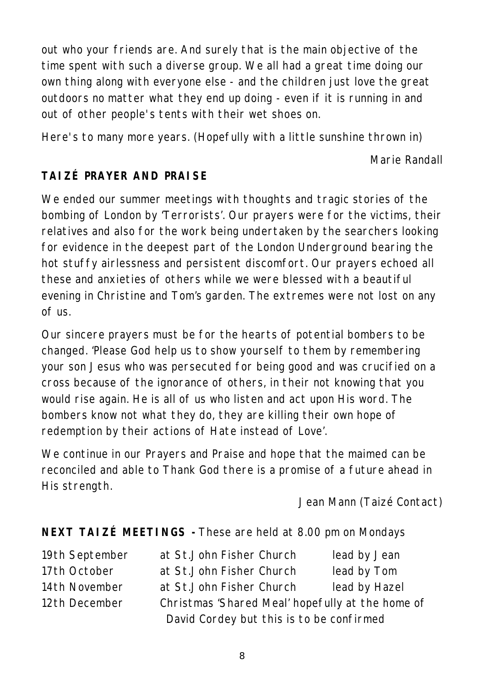out who your friends are. And surely that is the main objective of the time spent with such a diverse group. We all had a great time doing our own thing along with everyone else - and the children just love the great outdoors no matter what they end up doing - even if it is running in and out of other people's tents with their wet shoes on.

Here's to many more years. (Hopefully with a little sunshine thrown in)

#### *Marie Randall*

## **TAIZÉ PRAYER AND PRAISE**

We ended our summer meetings with thoughts and tragic stories of the bombing of London by 'Terrorists'. Our prayers were for the victims, their relatives and also for the work being undertaken by the searchers looking for evidence in the deepest part of the London Underground bearing the hot stuffy airlessness and persistent discomfort. Our prayers echoed all these and anxieties of others while we were blessed with a beautiful evening in Christine and Tom's garden. The extremes were not lost on any of us.

Our sincere prayers must be for the hearts of potential bombers to be changed. 'Please God help us to show yourself to them by remembering your son Jesus who was persecuted for being good and was crucified on a cross because of the ignorance of others, in their not knowing that you would rise again. He is all of us who listen and act upon His word. The bombers know not what they do, they are killing their own hope of redemption by their actions of Hate instead of Love'.

We continue in our Prayers and Praise and hope that the maimed can be reconciled and able to Thank God there is a promise of a future ahead in His strength.

### *Jean Mann (Taizé Contact)*

## **NEXT TAIZÉ MEETINGS -**These are held at 8.00 pm on Mondays

| 19th September | at St.John Fisher Church                         | lead by Jean  |
|----------------|--------------------------------------------------|---------------|
| 17th October   | at St.John Fisher Church                         | lead by Tom   |
| 14th November  | at St.John Fisher Church                         | lead by Hazel |
| 12th December  | Christmas 'Shared Meal' hopefully at the home of |               |
|                | David Cordey but this is to be confirmed         |               |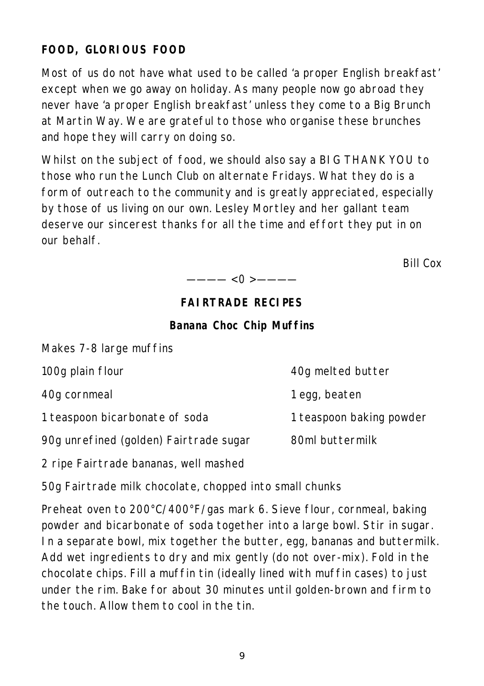## **FOOD, GLORIOUS FOOD**

Most of us do not have what used to be called 'a proper English breakfast' except when we go away on holiday. As many people now go abroad they never have 'a proper English breakfast' unless they come to a Big Brunch at Martin Way. We are grateful to those who organise these brunches and hope they will carry on doing so.

Whilst on the subject of food, we should also say a BIG THANK YOU to those who run the Lunch Club on alternate Fridays. What they do is a form of outreach to the community and is greatly appreciated, especially by those of us living on our own. Lesley Mortley and her gallant team deserve our sincerest thanks for all the time and effort they put in on our behalf.

*Bill Cox*

 $---<0>---$ 

## **FAIRTRADE RECIPES**

#### **Banana Choc Chip Muffins**

| Makes 7-8 large muffins                |                          |
|----------------------------------------|--------------------------|
| 100g plain flour                       | 40g melted butter        |
| 40g cornmeal                           | 1 egg, beaten            |
| 1 teaspoon bicarbonate of soda         | 1 teaspoon baking powder |
| 90g unrefined (golden) Fairtrade sugar | 80ml buttermilk          |
|                                        |                          |

2 ripe Fairtrade bananas, well mashed

50g Fairtrade milk chocolate, chopped into small chunks

Preheat oven to 200°C/400°F/gas mark 6. Sieve flour, cornmeal, baking powder and bicarbonate of soda together into a large bowl. Stir in sugar. In a separate bowl, mix together the butter, egg, bananas and buttermilk. Add wet ingredients to dry and mix gently (do not over-mix). Fold in the chocolate chips. Fill a muffin tin (ideally lined with muffin cases) to just under the rim. Bake for about 30 minutes until golden-brown and firm to the touch. Allow them to cool in the tin.